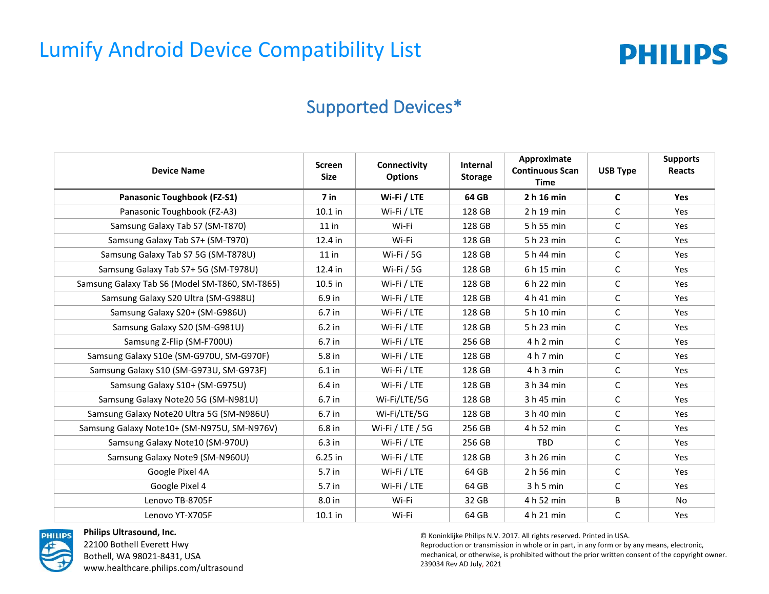

#### Supported Devices\*

| <b>Device Name</b>                             | <b>Screen</b><br><b>Size</b> | Connectivity<br><b>Options</b> | Internal<br><b>Storage</b> | Approximate<br><b>Continuous Scan</b><br><b>Time</b> | <b>USB Type</b> | <b>Supports</b><br>Reacts |
|------------------------------------------------|------------------------------|--------------------------------|----------------------------|------------------------------------------------------|-----------------|---------------------------|
| <b>Panasonic Toughbook (FZ-S1)</b>             | $7$ in                       | Wi-Fi / LTE                    | 64 GB                      | 2 h 16 min                                           | C               | <b>Yes</b>                |
| Panasonic Toughbook (FZ-A3)                    | 10.1 in                      | Wi-Fi / LTE                    | 128 GB                     | 2 h 19 min                                           | $\mathsf C$     | Yes                       |
| Samsung Galaxy Tab S7 (SM-T870)                | $11$ in                      | Wi-Fi                          | 128 GB                     | 5 h 55 min                                           | C               | Yes                       |
| Samsung Galaxy Tab S7+ (SM-T970)               | 12.4 in                      | Wi-Fi                          | 128 GB                     | 5 h 23 min                                           | C               | Yes                       |
| Samsung Galaxy Tab S7 5G (SM-T878U)            | $11$ in                      | Wi-Fi $/$ 5G                   | 128 GB                     | 5 h 44 min                                           | C               | Yes                       |
| Samsung Galaxy Tab S7+ 5G (SM-T978U)           | 12.4 in                      | Wi-Fi / 5G                     | 128 GB                     | 6 h 15 min                                           | $\mathsf{C}$    | Yes                       |
| Samsung Galaxy Tab S6 (Model SM-T860, SM-T865) | 10.5 in                      | Wi-Fi / LTE                    | 128 GB                     | 6 h 22 min                                           | C               | Yes                       |
| Samsung Galaxy S20 Ultra (SM-G988U)            | 6.9 in                       | Wi-Fi / LTE                    | 128 GB                     | 4 h 41 min                                           | $\mathsf{C}$    | Yes                       |
| Samsung Galaxy S20+ (SM-G986U)                 | 6.7 in                       | Wi-Fi / LTE                    | 128 GB                     | 5 h 10 min                                           | C               | Yes                       |
| Samsung Galaxy S20 (SM-G981U)                  | $6.2$ in                     | Wi-Fi / LTE                    | 128 GB                     | 5 h 23 min                                           | C               | Yes                       |
| Samsung Z-Flip (SM-F700U)                      | 6.7 in                       | Wi-Fi / LTE                    | 256 GB                     | 4 h 2 min                                            | $\mathsf C$     | Yes                       |
| Samsung Galaxy S10e (SM-G970U, SM-G970F)       | 5.8 in                       | Wi-Fi / LTE                    | 128 GB                     | 4 h 7 min                                            | $\mathsf C$     | Yes                       |
| Samsung Galaxy S10 (SM-G973U, SM-G973F)        | $6.1$ in                     | Wi-Fi / LTE                    | 128 GB                     | 4 h 3 min                                            | C               | Yes                       |
| Samsung Galaxy S10+ (SM-G975U)                 | 6.4 in                       | Wi-Fi / LTE                    | 128 GB                     | 3 h 34 min                                           | $\mathsf C$     | Yes                       |
| Samsung Galaxy Note20 5G (SM-N981U)            | 6.7 in                       | Wi-Fi/LTE/5G                   | 128 GB                     | 3 h 45 min                                           | $\mathsf{C}$    | Yes                       |
| Samsung Galaxy Note20 Ultra 5G (SM-N986U)      | 6.7 in                       | Wi-Fi/LTE/5G                   | 128 GB                     | 3 h 40 min                                           | $\mathsf{C}$    | Yes                       |
| Samsung Galaxy Note10+ (SM-N975U, SM-N976V)    | 6.8 in                       | Wi-Fi / LTE / 5G               | 256 GB                     | 4 h 52 min                                           | $\mathsf C$     | Yes                       |
| Samsung Galaxy Note10 (SM-970U)                | $6.3$ in                     | Wi-Fi / LTE                    | 256 GB                     | <b>TBD</b>                                           | C               | Yes                       |
| Samsung Galaxy Note9 (SM-N960U)                | $6.25$ in                    | Wi-Fi / LTE                    | 128 GB                     | 3 h 26 min                                           | C               | Yes                       |
| Google Pixel 4A                                | 5.7 in                       | Wi-Fi / LTE                    | 64 GB                      | 2 h 56 min                                           | $\mathsf C$     | Yes                       |
| Google Pixel 4                                 | 5.7 in                       | Wi-Fi / LTE                    | 64 GB                      | 3h5min                                               | $\mathsf C$     | Yes                       |
| Lenovo TB-8705F                                | 8.0 in                       | Wi-Fi                          | 32 GB                      | 4 h 52 min                                           | B               | No                        |
| Lenovo YT-X705F                                | $10.1$ in                    | Wi-Fi                          | 64 GB                      | 4 h 21 min                                           | $\mathsf C$     | Yes                       |



**Philips Ultrasound, Inc.** 22100 Bothell Everett Hwy Bothell, WA 98021-8431, USA www.healthcare.philips.com/ultrasound

© Koninklijke Philips N.V. 2017. All rights reserved. Printed in USA.

Reproduction or transmission in whole or in part, in any form or by any means, electronic, mechanical, or otherwise, is prohibited without the prior written consent of the copyright owner. 239034 Rev AD July, 2021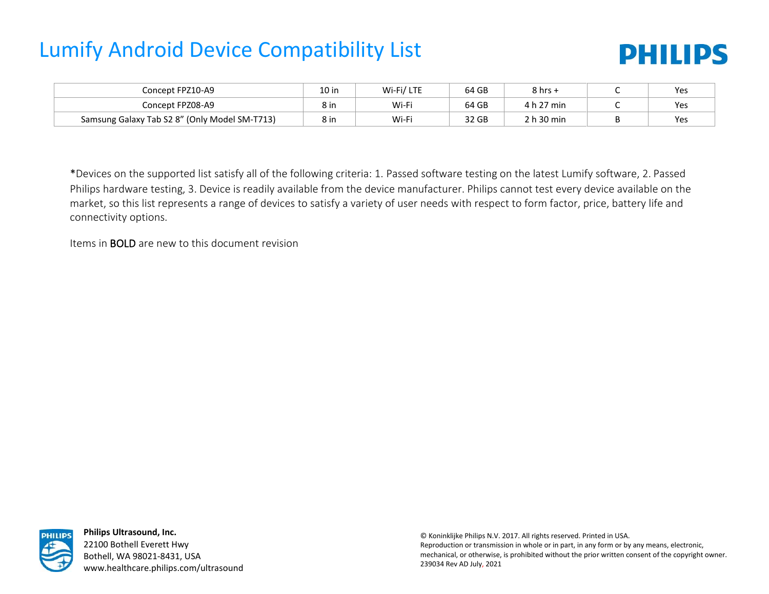

| Concept FPZ10-A9                              | 10 in | Wi-Fi/LTE | 64 GB | $8$ hrs +  | <b>Yes</b><br>1 CJ |
|-----------------------------------------------|-------|-----------|-------|------------|--------------------|
| Concept FPZ08-A9                              | 8 in  | Wi-Fi     | 64 GB | 4 h 27 min | Yes                |
| Samsung Galaxy Tab S2 8" (Only Model SM-T713) | 8 in  | Wi-Fi     | 32 GB | 2 h 30 min | <b>Yes</b><br>د تا |

\*Devices on the supported list satisfy all of the following criteria: 1. Passed software testing on the latest Lumify software, 2. Passed Philips hardware testing, 3. Device is readily available from the device manufacturer. Philips cannot test every device available on the market, so this list represents a range of devices to satisfy a variety of user needs with respect to form factor, price, battery life and connectivity options.

Items in BOLD are new to this document revision



**Philips Ultrasound, Inc.** 22100 Bothell Everett Hwy Bothell, WA 98021-8431, USA www.healthcare.philips.com/ultrasound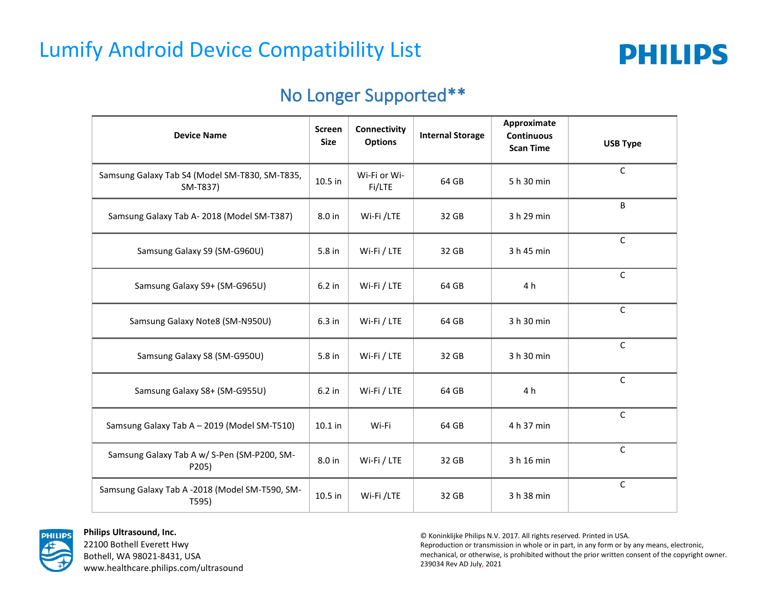

#### No Longer Supported\*\*

| <b>Device Name</b>                                         | <b>Screen</b><br><b>Size</b> | Connectivity<br><b>Options</b> | <b>Internal Storage</b> | Approximate<br><b>Continuous</b><br><b>Scan Time</b> | <b>USB Type</b> |
|------------------------------------------------------------|------------------------------|--------------------------------|-------------------------|------------------------------------------------------|-----------------|
| Samsung Galaxy Tab S4 (Model SM-T830, SM-T835,<br>SM-T837) | 10.5 in                      | Wi-Fi or Wi-<br>Fi/LTE         | 64 GB                   | 5 h 30 min                                           | $\mathsf{C}$    |
| Samsung Galaxy Tab A- 2018 (Model SM-T387)                 | 8.0 in                       | Wi-Fi/LTE                      | 32 GB                   | 3 h 29 min                                           | B               |
| Samsung Galaxy S9 (SM-G960U)                               | 5.8 in                       | Wi-Fi / LTE                    | 32 GB                   | 3 h 45 min                                           | $\mathsf{C}$    |
| Samsung Galaxy S9+ (SM-G965U)                              | 6.2 in                       | Wi-Fi / LTE                    | 64 GB                   | 4 h                                                  | $\mathsf C$     |
| Samsung Galaxy Note8 (SM-N950U)                            | 6.3 in                       | Wi-Fi / LTE                    | 64 GB                   | 3 h 30 min                                           | $\mathsf{C}$    |
| Samsung Galaxy S8 (SM-G950U)                               | 5.8 in                       | Wi-Fi / LTE                    | 32 GB                   | 3 h 30 min                                           | $\mathsf{C}$    |
| Samsung Galaxy S8+ (SM-G955U)                              | 6.2 in                       | Wi-Fi / LTE                    | 64 GB                   | 4 h                                                  | $\mathsf{C}$    |
| Samsung Galaxy Tab A - 2019 (Model SM-T510)                | 10.1 in                      | Wi-Fi                          | 64 GB                   | 4 h 37 min                                           | $\mathsf C$     |
| Samsung Galaxy Tab A w/ S-Pen (SM-P200, SM-<br>P205)       | 8.0 in                       | Wi-Fi / LTE                    | 32 GB                   | 3 h 16 min                                           | $\mathsf{C}$    |
| Samsung Galaxy Tab A -2018 (Model SM-T590, SM-<br>T595)    | 10.5 in                      | Wi-Fi/LTE                      | 32 GB                   | 3 h 38 min                                           | $\mathsf C$     |



**Philips Ultrasound, Inc.** 22100 Bothell Everett Hwy Bothell, WA 98021-8431, USA www.healthcare.philips.com/ultrasound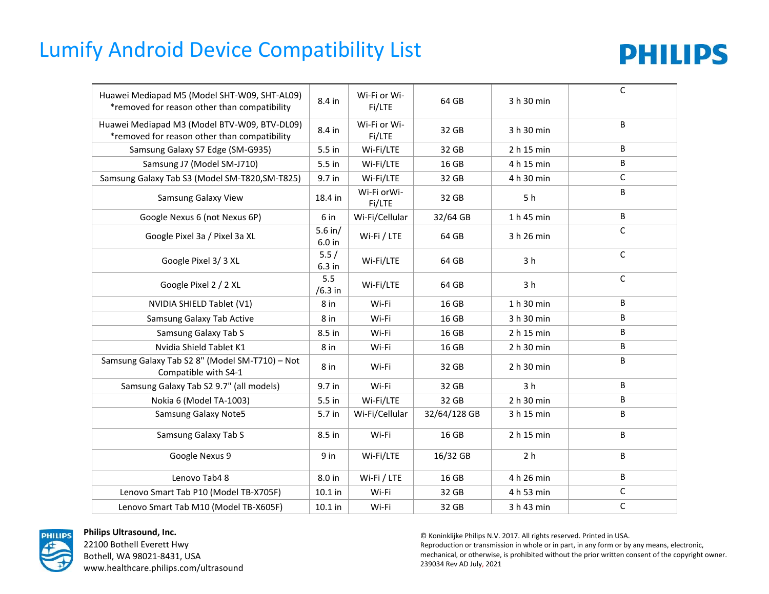

| Huawei Mediapad M5 (Model SHT-W09, SHT-AL09)<br>*removed for reason other than compatibility | 8.4 in              | Wi-Fi or Wi-<br>Fi/LTE | 64 GB        | 3 h 30 min     | C           |
|----------------------------------------------------------------------------------------------|---------------------|------------------------|--------------|----------------|-------------|
| Huawei Mediapad M3 (Model BTV-W09, BTV-DL09)<br>*removed for reason other than compatibility | 8.4 in              | Wi-Fi or Wi-<br>Fi/LTE | 32 GB        | 3 h 30 min     | B           |
| Samsung Galaxy S7 Edge (SM-G935)                                                             | 5.5 in              | Wi-Fi/LTE              | 32 GB        | 2 h 15 min     | B           |
| Samsung J7 (Model SM-J710)                                                                   | 5.5 in              | Wi-Fi/LTE              | 16 GB        | 4 h 15 min     | B           |
| Samsung Galaxy Tab S3 (Model SM-T820, SM-T825)                                               | 9.7 in              | Wi-Fi/LTE              | 32 GB        | 4 h 30 min     | $\mathsf C$ |
| Samsung Galaxy View                                                                          | 18.4 in             | Wi-Fi orWi-<br>Fi/LTE  | 32 GB        | 5 <sub>h</sub> | B           |
| Google Nexus 6 (not Nexus 6P)                                                                | 6 in                | Wi-Fi/Cellular         | 32/64 GB     | 1 h 45 min     | В           |
| Google Pixel 3a / Pixel 3a XL                                                                | $5.6$ in/<br>6.0 in | Wi-Fi / LTE            | 64 GB        | 3 h 26 min     | C           |
| Google Pixel 3/3 XL                                                                          | 5.5/<br>6.3 in      | Wi-Fi/LTE              | 64 GB        | 3 <sub>h</sub> | $\mathsf C$ |
| Google Pixel 2 / 2 XL                                                                        | 5.5<br>$/6.3$ in    | Wi-Fi/LTE              | 64 GB        | 3 <sub>h</sub> | $\mathsf C$ |
| NVIDIA SHIELD Tablet (V1)                                                                    | 8 in                | Wi-Fi                  | 16 GB        | 1 h 30 min     | B           |
| Samsung Galaxy Tab Active                                                                    | 8 in                | Wi-Fi                  | 16 GB        | 3 h 30 min     | B           |
| Samsung Galaxy Tab S                                                                         | 8.5 in              | Wi-Fi                  | 16 GB        | 2 h 15 min     | B           |
| Nvidia Shield Tablet K1                                                                      | 8 in                | Wi-Fi                  | 16 GB        | 2 h 30 min     | B           |
| Samsung Galaxy Tab S2 8" (Model SM-T710) - Not<br>Compatible with S4-1                       | 8 in                | Wi-Fi                  | 32 GB        | 2 h 30 min     | B           |
| Samsung Galaxy Tab S2 9.7" (all models)                                                      | 9.7 in              | Wi-Fi                  | 32 GB        | 3 <sub>h</sub> | B           |
| Nokia 6 (Model TA-1003)                                                                      | 5.5 in              | Wi-Fi/LTE              | 32 GB        | 2 h 30 min     | В           |
| <b>Samsung Galaxy Note5</b>                                                                  | 5.7 in              | Wi-Fi/Cellular         | 32/64/128 GB | 3 h 15 min     | B           |
| Samsung Galaxy Tab S                                                                         | 8.5 in              | Wi-Fi                  | 16 GB        | 2 h 15 min     | B           |
| Google Nexus 9                                                                               | 9 in                | Wi-Fi/LTE              | 16/32 GB     | 2 <sub>h</sub> | B           |
| Lenovo Tab4 8                                                                                | 8.0 in              | Wi-Fi / LTE            | 16 GB        | 4 h 26 min     | B           |
| Lenovo Smart Tab P10 (Model TB-X705F)                                                        | $10.1$ in           | Wi-Fi                  | 32 GB        | 4 h 53 min     | C           |
| Lenovo Smart Tab M10 (Model TB-X605F)                                                        | 10.1 in             | Wi-Fi                  | 32 GB        | 3 h 43 min     | $\mathsf C$ |



**Philips Ultrasound, Inc.** 22100 Bothell Everett Hwy Bothell, WA 98021-8431, USA www.healthcare.philips.com/ultrasound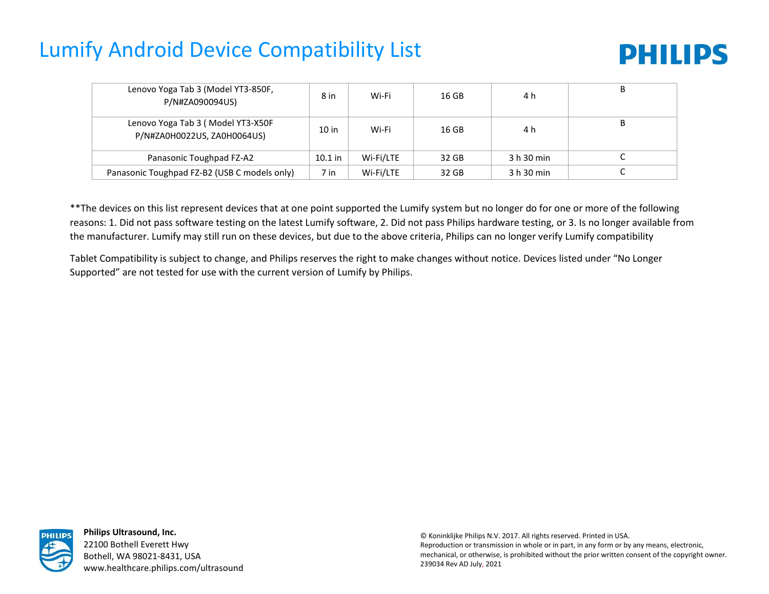

| Lenovo Yoga Tab 3 (Model YT3-850F,<br>P/N#ZA090094US)            | 8 in      | Wi-Fi     | 16 GB | 4 h        | B |
|------------------------------------------------------------------|-----------|-----------|-------|------------|---|
| Lenovo Yoga Tab 3 (Model YT3-X50F<br>P/N#ZA0H0022US, ZA0H0064US) | 10 in     | Wi-Fi     | 16 GB | 4 h        | B |
| Panasonic Toughpad FZ-A2                                         | $10.1$ in | Wi-Fi/LTE | 32 GB | 3 h 30 min |   |
| Panasonic Toughpad FZ-B2 (USB C models only)                     | 7 in      | Wi-Fi/LTE | 32 GB | 3 h 30 min |   |

\*\*The devices on this list represent devices that at one point supported the Lumify system but no longer do for one or more of the following reasons: 1. Did not pass software testing on the latest Lumify software, 2. Did not pass Philips hardware testing, or 3. Is no longer available from the manufacturer. Lumify may still run on these devices, but due to the above criteria, Philips can no longer verify Lumify compatibility

Tablet Compatibility is subject to change, and Philips reserves the right to make changes without notice. Devices listed under "No Longer Supported" are not tested for use with the current version of Lumify by Philips.



**Philips Ultrasound, Inc.** 22100 Bothell Everett Hwy Bothell, WA 98021-8431, USA www.healthcare.philips.com/ultrasound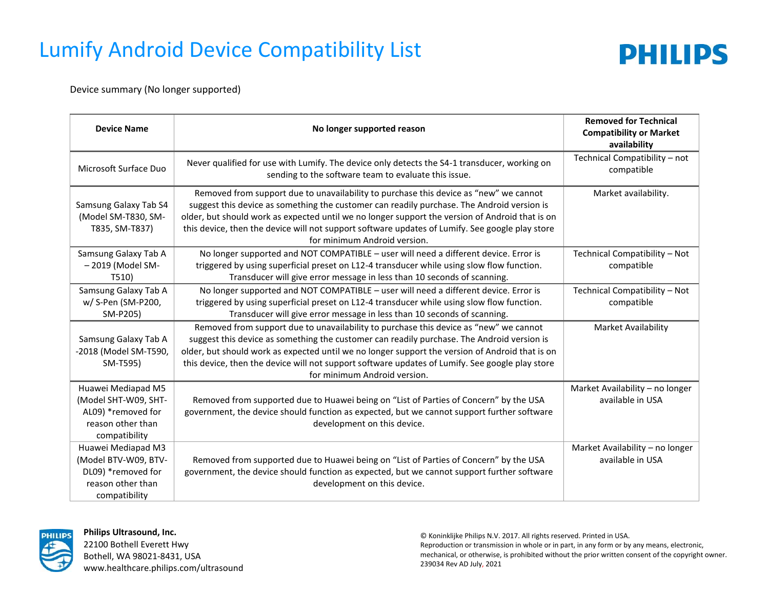

Device summary (No longer supported)

| <b>Device Name</b>                                                                                     | No longer supported reason                                                                                                                                                                                                                                                                                                                                                                                                | <b>Removed for Technical</b><br><b>Compatibility or Market</b><br>availability |
|--------------------------------------------------------------------------------------------------------|---------------------------------------------------------------------------------------------------------------------------------------------------------------------------------------------------------------------------------------------------------------------------------------------------------------------------------------------------------------------------------------------------------------------------|--------------------------------------------------------------------------------|
| Microsoft Surface Duo                                                                                  | Never qualified for use with Lumify. The device only detects the S4-1 transducer, working on<br>sending to the software team to evaluate this issue.                                                                                                                                                                                                                                                                      | Technical Compatibility - not<br>compatible                                    |
| Samsung Galaxy Tab S4<br>(Model SM-T830, SM-<br>T835, SM-T837)                                         | Removed from support due to unavailability to purchase this device as "new" we cannot<br>suggest this device as something the customer can readily purchase. The Android version is<br>older, but should work as expected until we no longer support the version of Android that is on<br>this device, then the device will not support software updates of Lumify. See google play store<br>for minimum Android version. | Market availability.                                                           |
| Samsung Galaxy Tab A<br>-2019 (Model SM-<br>T510)                                                      | No longer supported and NOT COMPATIBLE - user will need a different device. Error is<br>triggered by using superficial preset on L12-4 transducer while using slow flow function.<br>Transducer will give error message in less than 10 seconds of scanning.                                                                                                                                                              | Technical Compatibility - Not<br>compatible                                    |
| Samsung Galaxy Tab A<br>w/ S-Pen (SM-P200,<br>SM-P205)                                                 | No longer supported and NOT COMPATIBLE - user will need a different device. Error is<br>triggered by using superficial preset on L12-4 transducer while using slow flow function.<br>Transducer will give error message in less than 10 seconds of scanning.                                                                                                                                                              | Technical Compatibility - Not<br>compatible                                    |
| Samsung Galaxy Tab A<br>-2018 (Model SM-T590,<br>SM-T595)                                              | Removed from support due to unavailability to purchase this device as "new" we cannot<br>suggest this device as something the customer can readily purchase. The Android version is<br>older, but should work as expected until we no longer support the version of Android that is on<br>this device, then the device will not support software updates of Lumify. See google play store<br>for minimum Android version. | Market Availability                                                            |
| Huawei Mediapad M5<br>(Model SHT-W09, SHT-<br>AL09) *removed for<br>reason other than<br>compatibility | Removed from supported due to Huawei being on "List of Parties of Concern" by the USA<br>government, the device should function as expected, but we cannot support further software<br>development on this device.                                                                                                                                                                                                        | Market Availability - no longer<br>available in USA                            |
| Huawei Mediapad M3<br>(Model BTV-W09, BTV-<br>DL09) *removed for<br>reason other than<br>compatibility | Removed from supported due to Huawei being on "List of Parties of Concern" by the USA<br>government, the device should function as expected, but we cannot support further software<br>development on this device.                                                                                                                                                                                                        | Market Availability - no longer<br>available in USA                            |



**Philips Ultrasound, Inc.** 22100 Bothell Everett Hwy Bothell, WA 98021-8431, USA www.healthcare.philips.com/ultrasound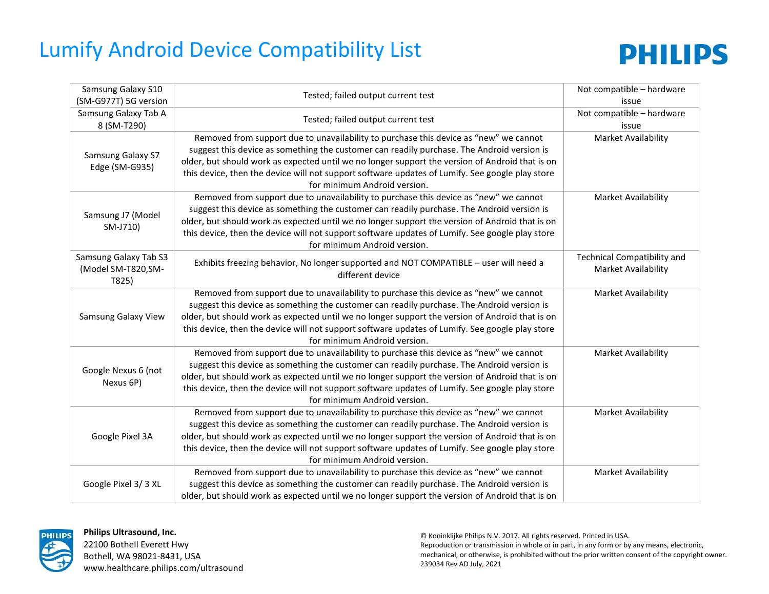

| Samsung Galaxy S10<br>(SM-G977T) 5G version          | Tested; failed output current test                                                                                                                                                                                                                                                                                                                                                                                        | Not compatible - hardware<br>issue                        |
|------------------------------------------------------|---------------------------------------------------------------------------------------------------------------------------------------------------------------------------------------------------------------------------------------------------------------------------------------------------------------------------------------------------------------------------------------------------------------------------|-----------------------------------------------------------|
| Samsung Galaxy Tab A<br>8 (SM-T290)                  | Tested; failed output current test                                                                                                                                                                                                                                                                                                                                                                                        | Not compatible - hardware<br>issue                        |
| Samsung Galaxy S7<br>Edge (SM-G935)                  | Removed from support due to unavailability to purchase this device as "new" we cannot<br>suggest this device as something the customer can readily purchase. The Android version is<br>older, but should work as expected until we no longer support the version of Android that is on<br>this device, then the device will not support software updates of Lumify. See google play store<br>for minimum Android version. | Market Availability                                       |
| Samsung J7 (Model<br>SM-J710)                        | Removed from support due to unavailability to purchase this device as "new" we cannot<br>suggest this device as something the customer can readily purchase. The Android version is<br>older, but should work as expected until we no longer support the version of Android that is on<br>this device, then the device will not support software updates of Lumify. See google play store<br>for minimum Android version. | Market Availability                                       |
| Samsung Galaxy Tab S3<br>(Model SM-T820,SM-<br>T825) | Exhibits freezing behavior, No longer supported and NOT COMPATIBLE - user will need a<br>different device                                                                                                                                                                                                                                                                                                                 | <b>Technical Compatibility and</b><br>Market Availability |
| Samsung Galaxy View                                  | Removed from support due to unavailability to purchase this device as "new" we cannot<br>suggest this device as something the customer can readily purchase. The Android version is<br>older, but should work as expected until we no longer support the version of Android that is on<br>this device, then the device will not support software updates of Lumify. See google play store<br>for minimum Android version. | Market Availability                                       |
| Google Nexus 6 (not<br>Nexus 6P)                     | Removed from support due to unavailability to purchase this device as "new" we cannot<br>suggest this device as something the customer can readily purchase. The Android version is<br>older, but should work as expected until we no longer support the version of Android that is on<br>this device, then the device will not support software updates of Lumify. See google play store<br>for minimum Android version. | Market Availability                                       |
| Google Pixel 3A                                      | Removed from support due to unavailability to purchase this device as "new" we cannot<br>suggest this device as something the customer can readily purchase. The Android version is<br>older, but should work as expected until we no longer support the version of Android that is on<br>this device, then the device will not support software updates of Lumify. See google play store<br>for minimum Android version. | Market Availability                                       |
| Google Pixel 3/3 XL                                  | Removed from support due to unavailability to purchase this device as "new" we cannot<br>suggest this device as something the customer can readily purchase. The Android version is<br>older, but should work as expected until we no longer support the version of Android that is on                                                                                                                                    | Market Availability                                       |



**Philips Ultrasound, Inc.** 22100 Bothell Everett Hwy Bothell, WA 98021-8431, USA www.healthcare.philips.com/ultrasound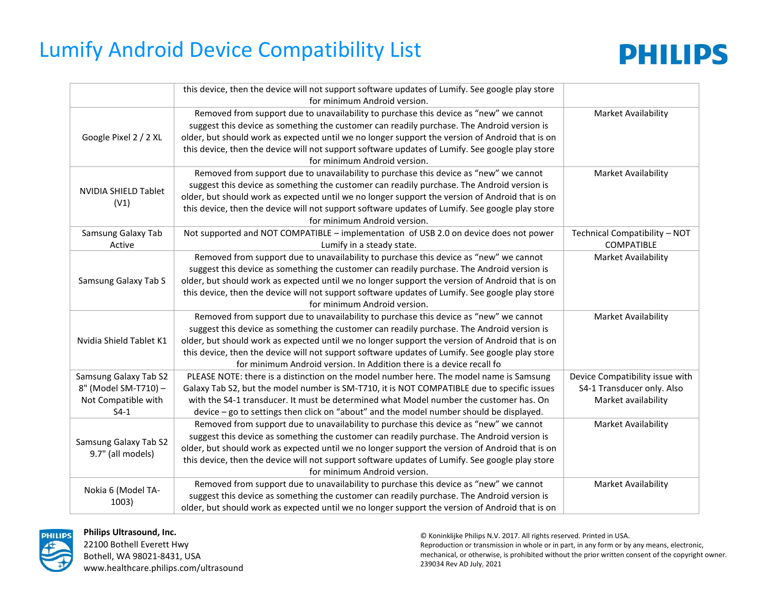

|                         | this device, then the device will not support software updates of Lumify. See google play store |                                 |
|-------------------------|-------------------------------------------------------------------------------------------------|---------------------------------|
|                         | for minimum Android version.                                                                    |                                 |
|                         | Removed from support due to unavailability to purchase this device as "new" we cannot           | Market Availability             |
|                         | suggest this device as something the customer can readily purchase. The Android version is      |                                 |
| Google Pixel 2 / 2 XL   | older, but should work as expected until we no longer support the version of Android that is on |                                 |
|                         | this device, then the device will not support software updates of Lumify. See google play store |                                 |
|                         | for minimum Android version.                                                                    |                                 |
|                         | Removed from support due to unavailability to purchase this device as "new" we cannot           | Market Availability             |
| NVIDIA SHIELD Tablet    | suggest this device as something the customer can readily purchase. The Android version is      |                                 |
| (V1)                    | older, but should work as expected until we no longer support the version of Android that is on |                                 |
|                         | this device, then the device will not support software updates of Lumify. See google play store |                                 |
|                         | for minimum Android version.                                                                    |                                 |
| Samsung Galaxy Tab      | Not supported and NOT COMPATIBLE - implementation of USB 2.0 on device does not power           | Technical Compatibility - NOT   |
| Active                  | Lumify in a steady state.                                                                       | <b>COMPATIBLE</b>               |
|                         | Removed from support due to unavailability to purchase this device as "new" we cannot           | Market Availability             |
|                         | suggest this device as something the customer can readily purchase. The Android version is      |                                 |
| Samsung Galaxy Tab S    | older, but should work as expected until we no longer support the version of Android that is on |                                 |
|                         | this device, then the device will not support software updates of Lumify. See google play store |                                 |
|                         | for minimum Android version.                                                                    |                                 |
|                         | Removed from support due to unavailability to purchase this device as "new" we cannot           | Market Availability             |
|                         | suggest this device as something the customer can readily purchase. The Android version is      |                                 |
| Nvidia Shield Tablet K1 | older, but should work as expected until we no longer support the version of Android that is on |                                 |
|                         | this device, then the device will not support software updates of Lumify. See google play store |                                 |
|                         | for minimum Android version. In Addition there is a device recall fo                            |                                 |
| Samsung Galaxy Tab S2   | PLEASE NOTE: there is a distinction on the model number here. The model name is Samsung         | Device Compatibility issue with |
| 8" (Model SM-T710) -    | Galaxy Tab S2, but the model number is SM-T710, it is NOT COMPATIBLE due to specific issues     | S4-1 Transducer only. Also      |
| Not Compatible with     | with the S4-1 transducer. It must be determined what Model number the customer has. On          | Market availability             |
| $S4-1$                  | device - go to settings then click on "about" and the model number should be displayed.         |                                 |
|                         | Removed from support due to unavailability to purchase this device as "new" we cannot           | Market Availability             |
| Samsung Galaxy Tab S2   | suggest this device as something the customer can readily purchase. The Android version is      |                                 |
| 9.7" (all models)       | older, but should work as expected until we no longer support the version of Android that is on |                                 |
|                         | this device, then the device will not support software updates of Lumify. See google play store |                                 |
|                         | for minimum Android version.                                                                    |                                 |
| Nokia 6 (Model TA-      | Removed from support due to unavailability to purchase this device as "new" we cannot           | Market Availability             |
| 1003)                   | suggest this device as something the customer can readily purchase. The Android version is      |                                 |
|                         | older, but should work as expected until we no longer support the version of Android that is on |                                 |



**Philips Ultrasound, Inc.** 22100 Bothell Everett Hwy Bothell, WA 98021-8431, USA www.healthcare.philips.com/ultrasound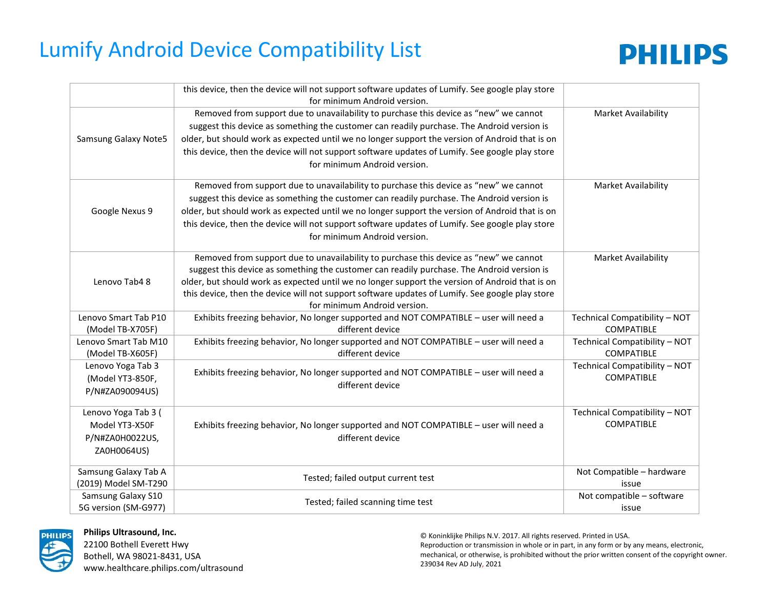

|                                                                         | this device, then the device will not support software updates of Lumify. See google play store<br>for minimum Android version.                                                                                                                                                                                                                                                                                           |                                                    |
|-------------------------------------------------------------------------|---------------------------------------------------------------------------------------------------------------------------------------------------------------------------------------------------------------------------------------------------------------------------------------------------------------------------------------------------------------------------------------------------------------------------|----------------------------------------------------|
| <b>Samsung Galaxy Note5</b>                                             | Removed from support due to unavailability to purchase this device as "new" we cannot<br>suggest this device as something the customer can readily purchase. The Android version is<br>older, but should work as expected until we no longer support the version of Android that is on<br>this device, then the device will not support software updates of Lumify. See google play store<br>for minimum Android version. | Market Availability                                |
| Google Nexus 9                                                          | Removed from support due to unavailability to purchase this device as "new" we cannot<br>suggest this device as something the customer can readily purchase. The Android version is<br>older, but should work as expected until we no longer support the version of Android that is on<br>this device, then the device will not support software updates of Lumify. See google play store<br>for minimum Android version. | Market Availability                                |
| Lenovo Tab4 8                                                           | Removed from support due to unavailability to purchase this device as "new" we cannot<br>suggest this device as something the customer can readily purchase. The Android version is<br>older, but should work as expected until we no longer support the version of Android that is on<br>this device, then the device will not support software updates of Lumify. See google play store<br>for minimum Android version. | Market Availability                                |
| Lenovo Smart Tab P10<br>(Model TB-X705F)                                | Exhibits freezing behavior, No longer supported and NOT COMPATIBLE - user will need a<br>different device                                                                                                                                                                                                                                                                                                                 | Technical Compatibility - NOT<br>COMPATIBLE        |
| Lenovo Smart Tab M10<br>(Model TB-X605F)                                | Exhibits freezing behavior, No longer supported and NOT COMPATIBLE - user will need a<br>different device                                                                                                                                                                                                                                                                                                                 | Technical Compatibility - NOT<br>COMPATIBLE        |
| Lenovo Yoga Tab 3<br>(Model YT3-850F,<br>P/N#ZA090094US)                | Exhibits freezing behavior, No longer supported and NOT COMPATIBLE - user will need a<br>different device                                                                                                                                                                                                                                                                                                                 | Technical Compatibility - NOT<br>COMPATIBLE        |
| Lenovo Yoga Tab 3 (<br>Model YT3-X50F<br>P/N#ZA0H0022US,<br>ZA0H0064US) | Exhibits freezing behavior, No longer supported and NOT COMPATIBLE - user will need a<br>different device                                                                                                                                                                                                                                                                                                                 | Technical Compatibility - NOT<br><b>COMPATIBLE</b> |
| Samsung Galaxy Tab A<br>(2019) Model SM-T290                            | Tested; failed output current test                                                                                                                                                                                                                                                                                                                                                                                        | Not Compatible - hardware<br>issue                 |
| Samsung Galaxy S10<br>5G version (SM-G977)                              | Tested; failed scanning time test                                                                                                                                                                                                                                                                                                                                                                                         | Not compatible - software<br>issue                 |



**Philips Ultrasound, Inc.**

22100 Bothell Everett Hwy Bothell, WA 98021-8431, USA www.healthcare.philips.com/ultrasound